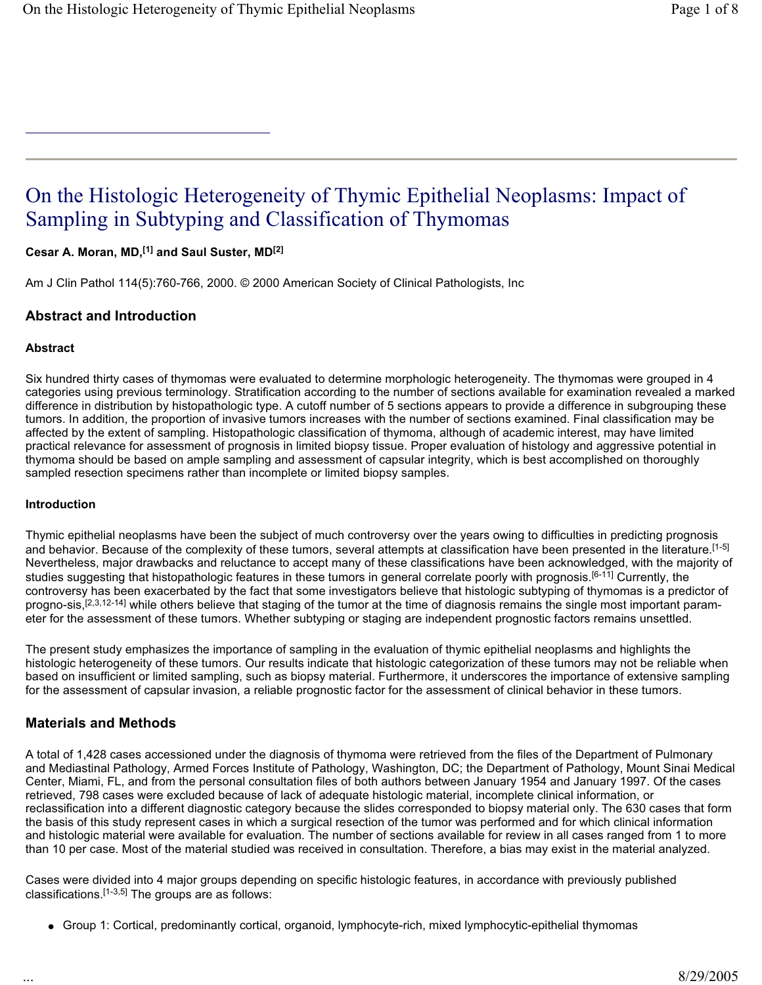# On the Histologic Heterogeneity of Thymic Epithelial Neoplasms: Impact of Sampling in Subtyping and Classification of Thymomas

**Cesar A. Moran, MD,[1] and Saul Suster, MD[2]**

Am J Clin Pathol 114(5):760-766, 2000. © 2000 American Society of Clinical Pathologists, Inc

## **Abstract and Introduction**

#### **Abstract**

Six hundred thirty cases of thymomas were evaluated to determine morphologic heterogeneity. The thymomas were grouped in 4 categories using previous terminology. Stratification according to the number of sections available for examination revealed a marked difference in distribution by histopathologic type. A cutoff number of 5 sections appears to provide a difference in subgrouping these tumors. In addition, the proportion of invasive tumors increases with the number of sections examined. Final classification may be affected by the extent of sampling. Histopathologic classification of thymoma, although of academic interest, may have limited practical relevance for assessment of prognosis in limited biopsy tissue. Proper evaluation of histology and aggressive potential in thymoma should be based on ample sampling and assessment of capsular integrity, which is best accomplished on thoroughly sampled resection specimens rather than incomplete or limited biopsy samples.

#### **Introduction**

Thymic epithelial neoplasms have been the subject of much controversy over the years owing to difficulties in predicting prognosis and behavior. Because of the complexity of these tumors, several attempts at classification have been presented in the literature.[1-5] Nevertheless, major drawbacks and reluctance to accept many of these classifications have been acknowledged, with the majority of studies suggesting that histopathologic features in these tumors in general correlate poorly with prognosis.<sup>[6-11]</sup> Currently, the controversy has been exacerbated by the fact that some investigators believe that histologic subtyping of thymomas is a predictor of progno-sis,<sup>[2,3,12-14]</sup> while others believe that staging of the tumor at the time of diagnosis remains the single most important parameter for the assessment of these tumors. Whether subtyping or staging are independent prognostic factors remains unsettled.

The present study emphasizes the importance of sampling in the evaluation of thymic epithelial neoplasms and highlights the histologic heterogeneity of these tumors. Our results indicate that histologic categorization of these tumors may not be reliable when based on insufficient or limited sampling, such as biopsy material. Furthermore, it underscores the importance of extensive sampling for the assessment of capsular invasion, a reliable prognostic factor for the assessment of clinical behavior in these tumors.

## **Materials and Methods**

A total of 1,428 cases accessioned under the diagnosis of thymoma were retrieved from the files of the Department of Pulmonary and Mediastinal Pathology, Armed Forces Institute of Pathology, Washington, DC; the Department of Pathology, Mount Sinai Medical Center, Miami, FL, and from the personal consultation files of both authors between January 1954 and January 1997. Of the cases retrieved, 798 cases were excluded because of lack of adequate histologic material, incomplete clinical information, or reclassification into a different diagnostic category because the slides corresponded to biopsy material only. The 630 cases that form the basis of this study represent cases in which a surgical resection of the tumor was performed and for which clinical information and histologic material were available for evaluation. The number of sections available for review in all cases ranged from 1 to more than 10 per case. Most of the material studied was received in consultation. Therefore, a bias may exist in the material analyzed.

Cases were divided into 4 major groups depending on specific histologic features, in accordance with previously published classifications.  $[1-3,5]$  The groups are as follows:

• Group 1: Cortical, predominantly cortical, organoid, lymphocyte-rich, mixed lymphocytic-epithelial thymomas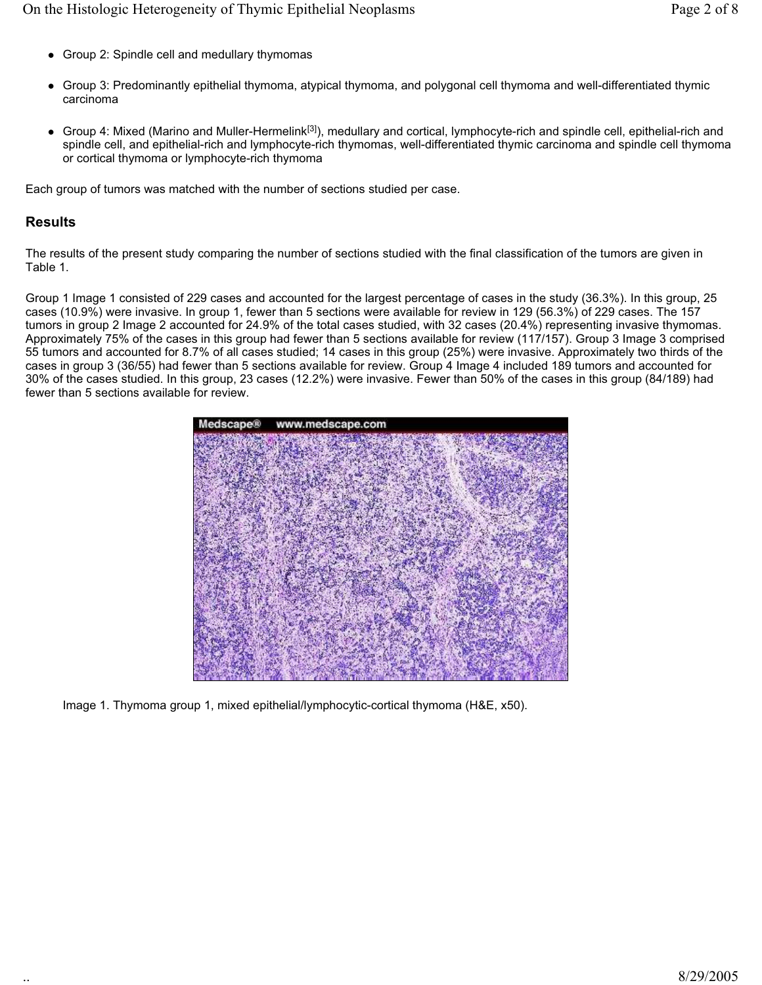- Group 2: Spindle cell and medullary thymomas
- Group 3: Predominantly epithelial thymoma, atypical thymoma, and polygonal cell thymoma and well-differentiated thymic carcinoma
- Group 4: Mixed (Marino and Muller-Hermelink<sup>[3]</sup>), medullary and cortical, lymphocyte-rich and spindle cell, epithelial-rich and spindle cell, and epithelial-rich and lymphocyte-rich thymomas, well-differentiated thymic carcinoma and spindle cell thymoma or cortical thymoma or lymphocyte-rich thymoma

Each group of tumors was matched with the number of sections studied per case.

# **Results**

The results of the present study comparing the number of sections studied with the final classification of the tumors are given in Table 1.

Group 1 Image 1 consisted of 229 cases and accounted for the largest percentage of cases in the study (36.3%). In this group, 25 cases (10.9%) were invasive. In group 1, fewer than 5 sections were available for review in 129 (56.3%) of 229 cases. The 157 tumors in group 2 Image 2 accounted for 24.9% of the total cases studied, with 32 cases (20.4%) representing invasive thymomas. Approximately 75% of the cases in this group had fewer than 5 sections available for review (117/157). Group 3 Image 3 comprised 55 tumors and accounted for 8.7% of all cases studied; 14 cases in this group (25%) were invasive. Approximately two thirds of the cases in group 3 (36/55) had fewer than 5 sections available for review. Group 4 Image 4 included 189 tumors and accounted for 30% of the cases studied. In this group, 23 cases (12.2%) were invasive. Fewer than 50% of the cases in this group (84/189) had fewer than 5 sections available for review.



Image 1. Thymoma group 1, mixed epithelial/lymphocytic-cortical thymoma (H&E, x50).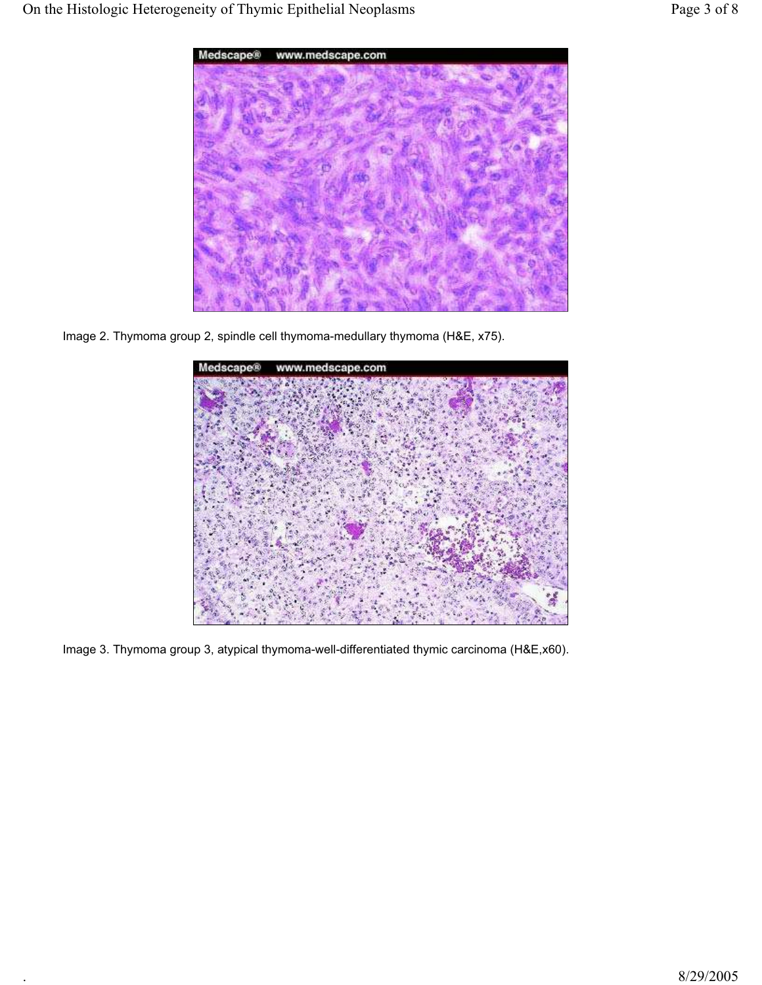

Image 2. Thymoma group 2, spindle cell thymoma-medullary thymoma (H&E, x75).



Image 3. Thymoma group 3, atypical thymoma-well-differentiated thymic carcinoma (H&E,x60).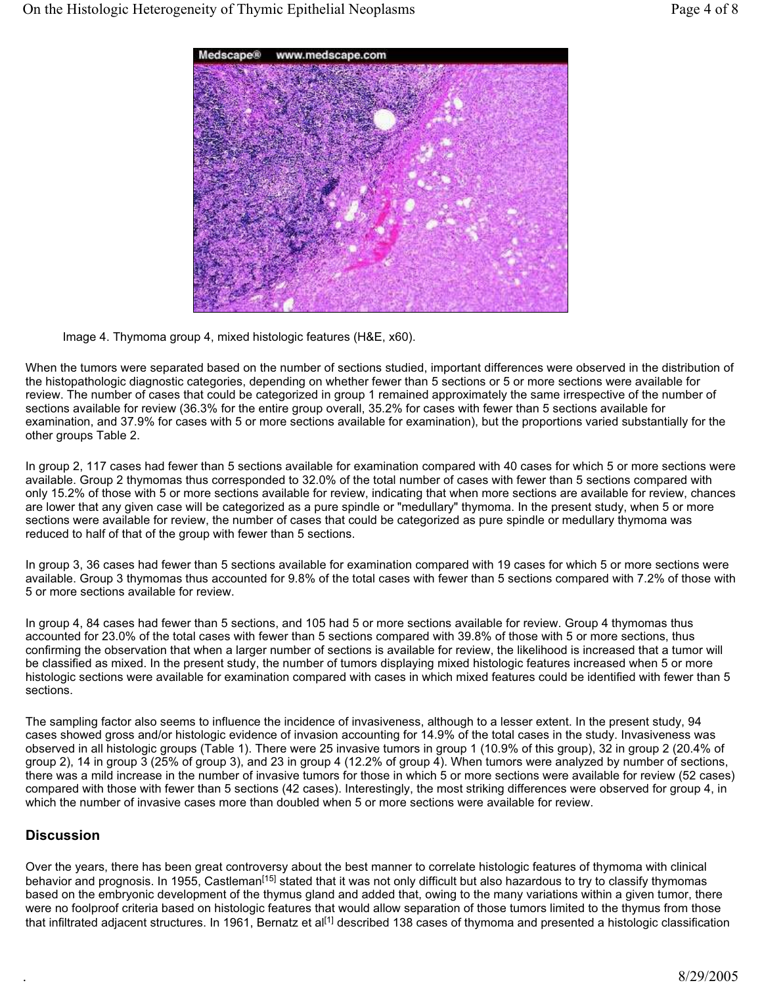

Image 4. Thymoma group 4, mixed histologic features (H&E, x60).

When the tumors were separated based on the number of sections studied, important differences were observed in the distribution of the histopathologic diagnostic categories, depending on whether fewer than 5 sections or 5 or more sections were available for review. The number of cases that could be categorized in group 1 remained approximately the same irrespective of the number of sections available for review (36.3% for the entire group overall, 35.2% for cases with fewer than 5 sections available for examination, and 37.9% for cases with 5 or more sections available for examination), but the proportions varied substantially for the other groups Table 2.

In group 2, 117 cases had fewer than 5 sections available for examination compared with 40 cases for which 5 or more sections were available. Group 2 thymomas thus corresponded to 32.0% of the total number of cases with fewer than 5 sections compared with only 15.2% of those with 5 or more sections available for review, indicating that when more sections are available for review, chances are lower that any given case will be categorized as a pure spindle or "medullary" thymoma. In the present study, when 5 or more sections were available for review, the number of cases that could be categorized as pure spindle or medullary thymoma was reduced to half of that of the group with fewer than 5 sections.

In group 3, 36 cases had fewer than 5 sections available for examination compared with 19 cases for which 5 or more sections were available. Group 3 thymomas thus accounted for 9.8% of the total cases with fewer than 5 sections compared with 7.2% of those with 5 or more sections available for review.

In group 4, 84 cases had fewer than 5 sections, and 105 had 5 or more sections available for review. Group 4 thymomas thus accounted for 23.0% of the total cases with fewer than 5 sections compared with 39.8% of those with 5 or more sections, thus confirming the observation that when a larger number of sections is available for review, the likelihood is increased that a tumor will be classified as mixed. In the present study, the number of tumors displaying mixed histologic features increased when 5 or more histologic sections were available for examination compared with cases in which mixed features could be identified with fewer than 5 sections.

The sampling factor also seems to influence the incidence of invasiveness, although to a lesser extent. In the present study, 94 cases showed gross and/or histologic evidence of invasion accounting for 14.9% of the total cases in the study. Invasiveness was observed in all histologic groups (Table 1). There were 25 invasive tumors in group 1 (10.9% of this group), 32 in group 2 (20.4% of group 2), 14 in group 3 (25% of group 3), and 23 in group 4 (12.2% of group 4). When tumors were analyzed by number of sections, there was a mild increase in the number of invasive tumors for those in which 5 or more sections were available for review (52 cases) compared with those with fewer than 5 sections (42 cases). Interestingly, the most striking differences were observed for group 4, in which the number of invasive cases more than doubled when 5 or more sections were available for review.

# **Discussion**

Over the years, there has been great controversy about the best manner to correlate histologic features of thymoma with clinical behavior and prognosis. In 1955, Castleman<sup>[15]</sup> stated that it was not only difficult but also hazardous to try to classify thymomas based on the embryonic development of the thymus gland and added that, owing to the many variations within a given tumor, there were no foolproof criteria based on histologic features that would allow separation of those tumors limited to the thymus from those that infiltrated adjacent structures. In 1961, Bernatz et al<sup>[1]</sup> described 138 cases of thymoma and presented a histologic classification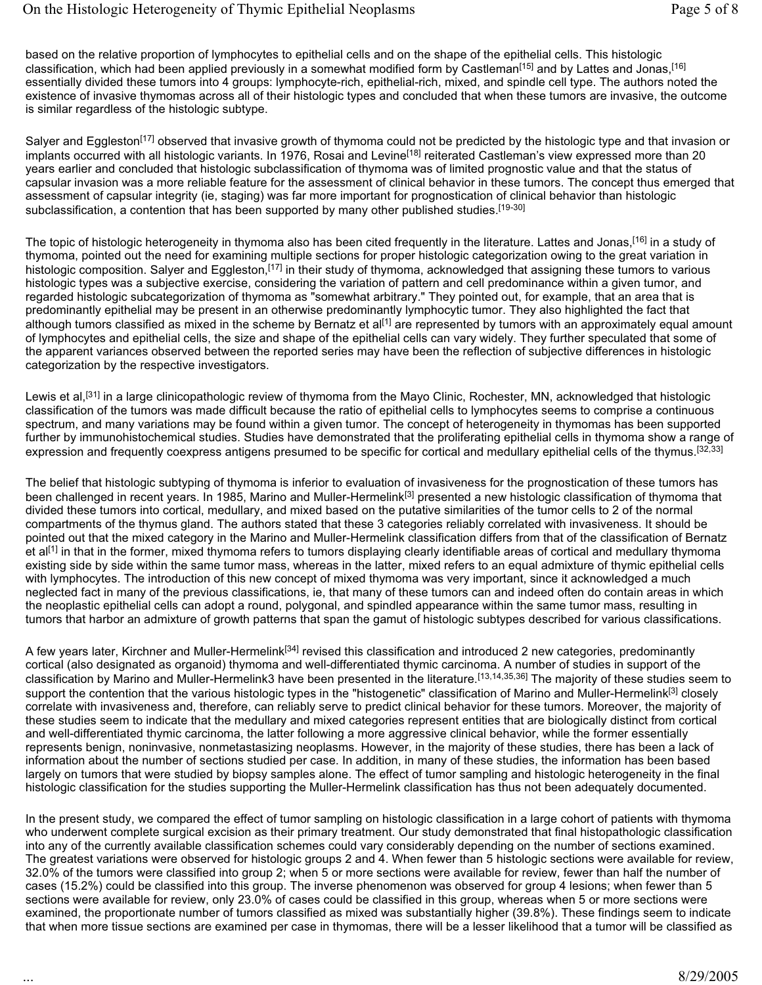based on the relative proportion of lymphocytes to epithelial cells and on the shape of the epithelial cells. This histologic classification, which had been applied previously in a somewhat modified form by Castleman[15] and by Lattes and Jonas,[16] essentially divided these tumors into 4 groups: lymphocyte-rich, epithelial-rich, mixed, and spindle cell type. The authors noted the existence of invasive thymomas across all of their histologic types and concluded that when these tumors are invasive, the outcome is similar regardless of the histologic subtype.

Salyer and Eggleston<sup>[17]</sup> observed that invasive growth of thymoma could not be predicted by the histologic type and that invasion or implants occurred with all histologic variants. In 1976, Rosai and Levine<sup>[18]</sup> reiterated Castleman's view expressed more than 20 years earlier and concluded that histologic subclassification of thymoma was of limited prognostic value and that the status of capsular invasion was a more reliable feature for the assessment of clinical behavior in these tumors. The concept thus emerged that assessment of capsular integrity (ie, staging) was far more important for prognostication of clinical behavior than histologic subclassification, a contention that has been supported by many other published studies.<sup>[19-30]</sup>

The topic of histologic heterogeneity in thymoma also has been cited frequently in the literature. Lattes and Jonas,<sup>[16]</sup> in a study of thymoma, pointed out the need for examining multiple sections for proper histologic categorization owing to the great variation in histologic composition. Salyer and Eggleston,<sup>[17]</sup> in their study of thymoma, acknowledged that assigning these tumors to various histologic types was a subjective exercise, considering the variation of pattern and cell predominance within a given tumor, and regarded histologic subcategorization of thymoma as "somewhat arbitrary." They pointed out, for example, that an area that is predominantly epithelial may be present in an otherwise predominantly lymphocytic tumor. They also highlighted the fact that although tumors classified as mixed in the scheme by Bernatz et al<sup>[1]</sup> are represented by tumors with an approximately equal amount of lymphocytes and epithelial cells, the size and shape of the epithelial cells can vary widely. They further speculated that some of the apparent variances observed between the reported series may have been the reflection of subjective differences in histologic categorization by the respective investigators.

Lewis et al,<sup>[31]</sup> in a large clinicopathologic review of thymoma from the Mayo Clinic, Rochester, MN, acknowledged that histologic classification of the tumors was made difficult because the ratio of epithelial cells to lymphocytes seems to comprise a continuous spectrum, and many variations may be found within a given tumor. The concept of heterogeneity in thymomas has been supported further by immunohistochemical studies. Studies have demonstrated that the proliferating epithelial cells in thymoma show a range of expression and frequently coexpress antigens presumed to be specific for cortical and medullary epithelial cells of the thymus.<sup>[32,33]</sup>

The belief that histologic subtyping of thymoma is inferior to evaluation of invasiveness for the prognostication of these tumors has been challenged in recent years. In 1985, Marino and Muller-Hermelink<sup>[3]</sup> presented a new histologic classification of thymoma that divided these tumors into cortical, medullary, and mixed based on the putative similarities of the tumor cells to 2 of the normal compartments of the thymus gland. The authors stated that these 3 categories reliably correlated with invasiveness. It should be pointed out that the mixed category in the Marino and Muller-Hermelink classification differs from that of the classification of Bernatz et al<sup>[1]</sup> in that in the former, mixed thymoma refers to tumors displaying clearly identifiable areas of cortical and medullary thymoma existing side by side within the same tumor mass, whereas in the latter, mixed refers to an equal admixture of thymic epithelial cells with lymphocytes. The introduction of this new concept of mixed thymoma was very important, since it acknowledged a much neglected fact in many of the previous classifications, ie, that many of these tumors can and indeed often do contain areas in which the neoplastic epithelial cells can adopt a round, polygonal, and spindled appearance within the same tumor mass, resulting in tumors that harbor an admixture of growth patterns that span the gamut of histologic subtypes described for various classifications.

A few years later, Kirchner and Muller-Hermelink<sup>[34]</sup> revised this classification and introduced 2 new categories, predominantly cortical (also designated as organoid) thymoma and well-differentiated thymic carcinoma. A number of studies in support of the classification by Marino and Muller-Hermelink3 have been presented in the literature.<sup>[13,14,35,36]</sup> The maiority of these studies seem to support the contention that the various histologic types in the "histogenetic" classification of Marino and Muller-Hermelink<sup>[3]</sup> closely correlate with invasiveness and, therefore, can reliably serve to predict clinical behavior for these tumors. Moreover, the majority of these studies seem to indicate that the medullary and mixed categories represent entities that are biologically distinct from cortical and well-differentiated thymic carcinoma, the latter following a more aggressive clinical behavior, while the former essentially represents benign, noninvasive, nonmetastasizing neoplasms. However, in the majority of these studies, there has been a lack of information about the number of sections studied per case. In addition, in many of these studies, the information has been based largely on tumors that were studied by biopsy samples alone. The effect of tumor sampling and histologic heterogeneity in the final histologic classification for the studies supporting the Muller-Hermelink classification has thus not been adequately documented.

In the present study, we compared the effect of tumor sampling on histologic classification in a large cohort of patients with thymoma who underwent complete surgical excision as their primary treatment. Our study demonstrated that final histopathologic classification into any of the currently available classification schemes could vary considerably depending on the number of sections examined. The greatest variations were observed for histologic groups 2 and 4. When fewer than 5 histologic sections were available for review, 32.0% of the tumors were classified into group 2; when 5 or more sections were available for review, fewer than half the number of cases (15.2%) could be classified into this group. The inverse phenomenon was observed for group 4 lesions; when fewer than 5 sections were available for review, only 23.0% of cases could be classified in this group, whereas when 5 or more sections were examined, the proportionate number of tumors classified as mixed was substantially higher (39.8%). These findings seem to indicate that when more tissue sections are examined per case in thymomas, there will be a lesser likelihood that a tumor will be classified as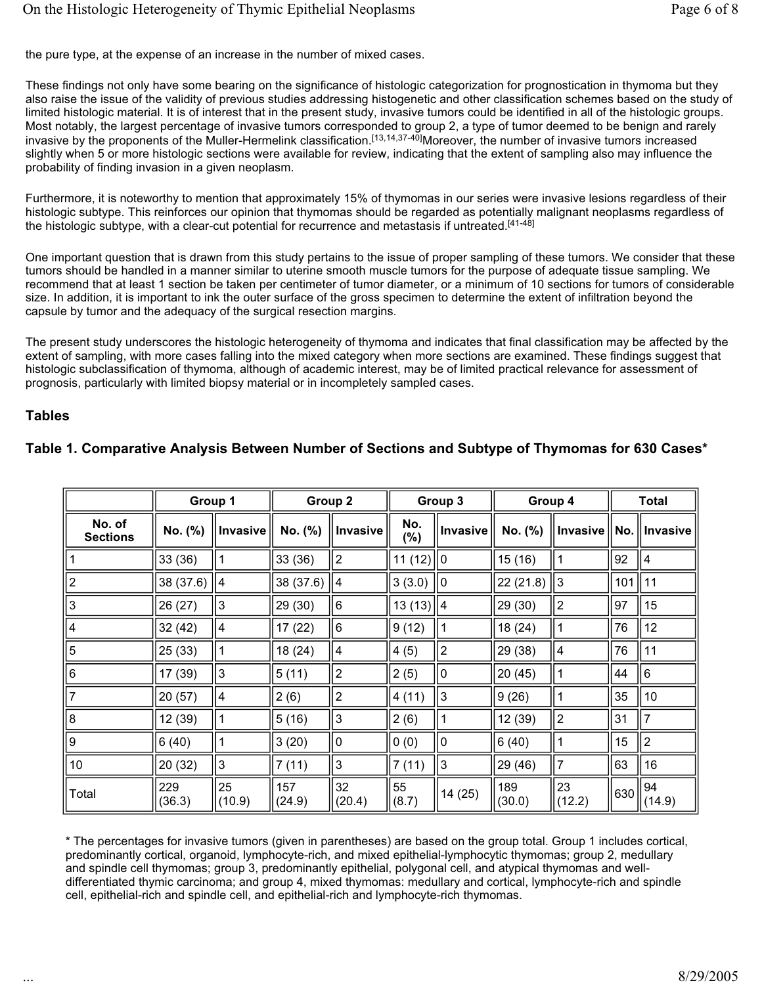the pure type, at the expense of an increase in the number of mixed cases.

These findings not only have some bearing on the significance of histologic categorization for prognostication in thymoma but they also raise the issue of the validity of previous studies addressing histogenetic and other classification schemes based on the study of limited histologic material. It is of interest that in the present study, invasive tumors could be identified in all of the histologic groups. Most notably, the largest percentage of invasive tumors corresponded to group 2, a type of tumor deemed to be benign and rarely invasive by the proponents of the Muller-Hermelink classification.[13,14,37-40]Moreover, the number of invasive tumors increased slightly when 5 or more histologic sections were available for review, indicating that the extent of sampling also may influence the probability of finding invasion in a given neoplasm.

Furthermore, it is noteworthy to mention that approximately 15% of thymomas in our series were invasive lesions regardless of their histologic subtype. This reinforces our opinion that thymomas should be regarded as potentially malignant neoplasms regardless of the histologic subtype, with a clear-cut potential for recurrence and metastasis if untreated.<sup>[41-48]</sup>

One important question that is drawn from this study pertains to the issue of proper sampling of these tumors. We consider that these tumors should be handled in a manner similar to uterine smooth muscle tumors for the purpose of adequate tissue sampling. We recommend that at least 1 section be taken per centimeter of tumor diameter, or a minimum of 10 sections for tumors of considerable size. In addition, it is important to ink the outer surface of the gross specimen to determine the extent of infiltration beyond the capsule by tumor and the adequacy of the surgical resection margins.

The present study underscores the histologic heterogeneity of thymoma and indicates that final classification may be affected by the extent of sampling, with more cases falling into the mixed category when more sections are examined. These findings suggest that histologic subclassification of thymoma, although of academic interest, may be of limited practical relevance for assessment of prognosis, particularly with limited biopsy material or in incompletely sampled cases.

#### **Tables**

|                           | Group 1       |                 | Group 2       |                 | Group 3      |                 | Group 4       |                | <b>Total</b> |                                               |
|---------------------------|---------------|-----------------|---------------|-----------------|--------------|-----------------|---------------|----------------|--------------|-----------------------------------------------|
| No. of<br><b>Sections</b> | No. (%)       | <b>Invasive</b> | No. (%)       | <b>Invasive</b> | No.<br>(%)   | <b>Invasive</b> | No. (%)       |                |              | Invasive $\parallel$ No. $\parallel$ Invasive |
|                           | 33(36)        |                 | 33(36)        | 2               | 11(12)  0    |                 | 15(16)        |                | 92           | $\overline{4}$                                |
| 2                         | 38 (37.6)     | 4               | 38 (37.6)     | ∥4              | 3(3.0)       | II O            | 22 (21.8)     | IIЗ            | 101          | 11                                            |
| 3                         | 26 (27)       | 3               | 29 (30)       | 16              | $13(13)$   4 |                 | 29(30)        | $\overline{2}$ | 97           | 15                                            |
| 4                         | 32(42)        | 4               | 17(22)        | 16              | 9(12)        |                 | 18(24)        |                | 76           | 12                                            |
| 5                         | 25(33)        |                 | 18 (24)       | 14              | 4(5)         | $\overline{c}$  | 29 (38)       | 4              | 76           | 11                                            |
| 6                         | 17 (39)       | 3               | 5(11)         | 2               | 2(5)         | 0               | 20 (45)       |                | 44           | 6                                             |
|                           | 20 (57)       | 4               | 2(6)          | 2               | 4(11)        | 3               | 9(26)         |                | 35           | 10                                            |
| 8                         | 12 (39)       |                 | 5(16)         | IЗ              | 2(6)         |                 | 12 (39)       | $\overline{2}$ | 31           | $\overline{7}$                                |
| 9                         | 6(40)         | 1               | 3(20)         | l0              | 0(0)         | $\mathbf 0$     | 6(40)         | 1              | 15           | $\overline{2}$                                |
| 10                        | 20(32)        | $\mathbf{3}$    | 7(11)         | Iз              | 7(11)        | 3               | 29 (46)       | $\overline{7}$ | 63           | 16                                            |
| Total                     | 229<br>(36.3) | 25<br>(10.9)    | 157<br>(24.9) | 32<br>(20.4)    | 55<br>(8.7)  | 14(25)          | 189<br>(30.0) | 23<br>(12.2)   | 630          | 94<br>(14.9)                                  |

# **Table 1. Comparative Analysis Between Number of Sections and Subtype of Thymomas for 630 Cases\***

\* The percentages for invasive tumors (given in parentheses) are based on the group total. Group 1 includes cortical, predominantly cortical, organoid, lymphocyte-rich, and mixed epithelial-lymphocytic thymomas; group 2, medullary and spindle cell thymomas; group 3, predominantly epithelial, polygonal cell, and atypical thymomas and welldifferentiated thymic carcinoma; and group 4, mixed thymomas: medullary and cortical, lymphocyte-rich and spindle cell, epithelial-rich and spindle cell, and epithelial-rich and lymphocyte-rich thymomas.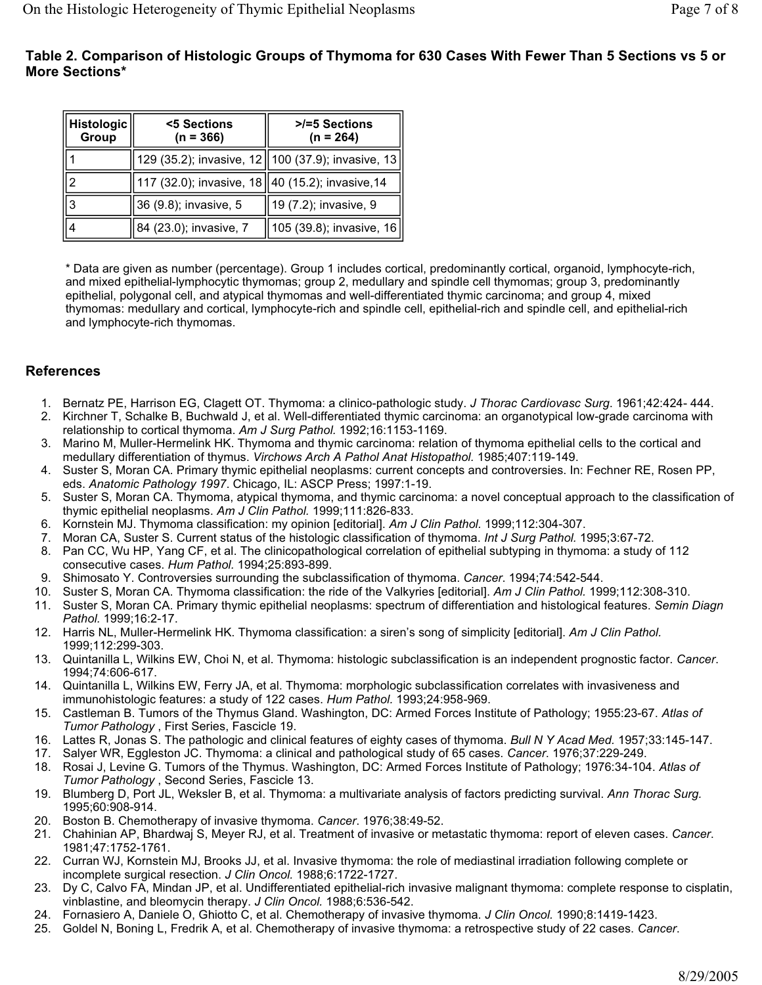# **Table 2. Comparison of Histologic Groups of Thymoma for 630 Cases With Fewer Than 5 Sections vs 5 or More Sections\***

| Histologic<br>Group | <5 Sections<br>$(n = 366)$                         | >/=5 Sections<br>$(n = 264)$                        |  |  |  |
|---------------------|----------------------------------------------------|-----------------------------------------------------|--|--|--|
|                     |                                                    | 129 (35.2); invasive, 12   100 (37.9); invasive, 13 |  |  |  |
| 12                  | 117 (32.0); invasive, 18   40 (15.2); invasive, 14 |                                                     |  |  |  |
| 3                   | 36 (9.8); invasive, 5                              | 19 (7.2); invasive, 9                               |  |  |  |
|                     | 84 (23.0); invasive, 7                             | 105 (39.8); invasive, 16                            |  |  |  |

\* Data are given as number (percentage). Group 1 includes cortical, predominantly cortical, organoid, lymphocyte-rich, and mixed epithelial-lymphocytic thymomas; group 2, medullary and spindle cell thymomas; group 3, predominantly epithelial, polygonal cell, and atypical thymomas and well-differentiated thymic carcinoma; and group 4, mixed thymomas: medullary and cortical, lymphocyte-rich and spindle cell, epithelial-rich and spindle cell, and epithelial-rich and lymphocyte-rich thymomas.

## **References**

- 1. Bernatz PE, Harrison EG, Clagett OT. Thymoma: a clinico-pathologic study. *J Thorac Cardiovasc Surg*. 1961;42:424- 444.
- 2. Kirchner T, Schalke B, Buchwald J, et al. Well-differentiated thymic carcinoma: an organotypical low-grade carcinoma with relationship to cortical thymoma. *Am J Surg Pathol.* 1992;16:1153-1169.
- 3. Marino M, Muller-Hermelink HK. Thymoma and thymic carcinoma: relation of thymoma epithelial cells to the cortical and medullary differentiation of thymus. *Virchows Arch A Pathol Anat Histopathol.* 1985;407:119-149.
- 4. Suster S, Moran CA. Primary thymic epithelial neoplasms: current concepts and controversies. In: Fechner RE, Rosen PP, eds. *Anatomic Pathology 1997*. Chicago, IL: ASCP Press; 1997:1-19.
- 5. Suster S, Moran CA. Thymoma, atypical thymoma, and thymic carcinoma: a novel conceptual approach to the classification of thymic epithelial neoplasms. *Am J Clin Pathol.* 1999;111:826-833.
- 6. Kornstein MJ. Thymoma classification: my opinion [editorial]. *Am J Clin Pathol.* 1999;112:304-307.
- 7. Moran CA, Suster S. Current status of the histologic classification of thymoma. *Int J Surg Pathol.* 1995;3:67-72.
- 8. Pan CC, Wu HP, Yang CF, et al. The clinicopathological correlation of epithelial subtyping in thymoma: a study of 112 consecutive cases. *Hum Pathol.* 1994;25:893-899.
- 9. Shimosato Y. Controversies surrounding the subclassification of thymoma. *Cancer*. 1994;74:542-544.
- 10. Suster S, Moran CA. Thymoma classification: the ride of the Valkyries [editorial]. *Am J Clin Pathol.* 1999;112:308-310.
- 11. Suster S, Moran CA. Primary thymic epithelial neoplasms: spectrum of differentiation and histological features. *Semin Diagn Pathol.* 1999;16:2-17.
- 12. Harris NL, Muller-Hermelink HK. Thymoma classification: a siren's song of simplicity [editorial]. *Am J Clin Pathol.*  1999;112:299-303.
- 13. Quintanilla L, Wilkins EW, Choi N, et al. Thymoma: histologic subclassification is an independent prognostic factor. *Cancer*. 1994;74:606-617.
- 14. Quintanilla L, Wilkins EW, Ferry JA, et al. Thymoma: morphologic subclassification correlates with invasiveness and immunohistologic features: a study of 122 cases. *Hum Pathol.* 1993;24:958-969.
- 15. Castleman B. Tumors of the Thymus Gland. Washington, DC: Armed Forces Institute of Pathology; 1955:23-67. *Atlas of Tumor Pathology* , First Series, Fascicle 19.
- 16. Lattes R, Jonas S. The pathologic and clinical features of eighty cases of thymoma. *Bull N Y Acad Med.* 1957;33:145-147.
- 17. Salyer WR, Eggleston JC. Thymoma: a clinical and pathological study of 65 cases. *Cancer*. 1976;37:229-249.
- 18. Rosai J, Levine G. Tumors of the Thymus. Washington, DC: Armed Forces Institute of Pathology; 1976:34-104. *Atlas of Tumor Pathology* , Second Series, Fascicle 13.
- 19. Blumberg D, Port JL, Weksler B, et al. Thymoma: a multivariate analysis of factors predicting survival. *Ann Thorac Surg.* 1995;60:908-914.
- 20. Boston B. Chemotherapy of invasive thymoma. *Cancer*. 1976;38:49-52.
- 21. Chahinian AP, Bhardwaj S, Meyer RJ, et al. Treatment of invasive or metastatic thymoma: report of eleven cases. *Cancer*. 1981;47:1752-1761.
- 22. Curran WJ, Kornstein MJ, Brooks JJ, et al. Invasive thymoma: the role of mediastinal irradiation following complete or incomplete surgical resection. *J Clin Oncol.* 1988;6:1722-1727.
- 23. Dy C, Calvo FA, Mindan JP, et al. Undifferentiated epithelial-rich invasive malignant thymoma: complete response to cisplatin, vinblastine, and bleomycin therapy. *J Clin Oncol.* 1988;6:536-542.
- 24. Fornasiero A, Daniele O, Ghiotto C, et al. Chemotherapy of invasive thymoma. *J Clin Oncol.* 1990;8:1419-1423.
- 25. Goldel N, Boning L, Fredrik A, et al. Chemotherapy of invasive thymoma: a retrospective study of 22 cases. *Cancer*.